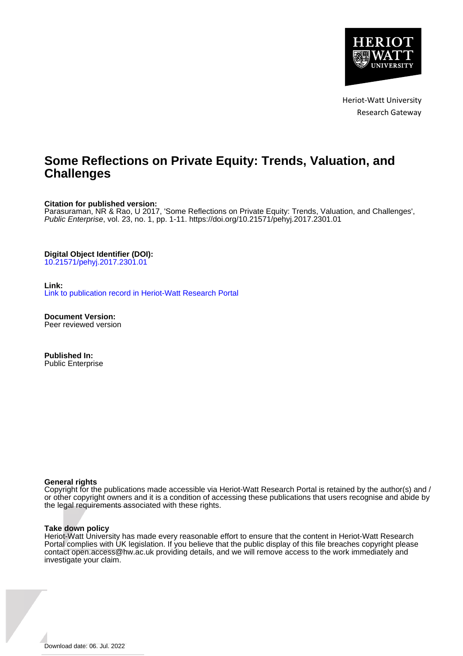

Heriot-Watt University Research Gateway

# **Some Reflections on Private Equity: Trends, Valuation, and Challenges**

#### **Citation for published version:**

Parasuraman, NR & Rao, U 2017, 'Some Reflections on Private Equity: Trends, Valuation, and Challenges', Public Enterprise, vol. 23, no. 1, pp. 1-11.<https://doi.org/10.21571/pehyj.2017.2301.01>

**Digital Object Identifier (DOI):**

[10.21571/pehyj.2017.2301.01](https://doi.org/10.21571/pehyj.2017.2301.01)

### **Link:**

[Link to publication record in Heriot-Watt Research Portal](https://researchportal.hw.ac.uk/en/publications/ee4f404e-178c-4426-9dcf-3a512ed4bc75)

**Document Version:** Peer reviewed version

**Published In:** Public Enterprise

#### **General rights**

Copyright for the publications made accessible via Heriot-Watt Research Portal is retained by the author(s) and / or other copyright owners and it is a condition of accessing these publications that users recognise and abide by the legal requirements associated with these rights.

#### **Take down policy**

Heriot-Watt University has made every reasonable effort to ensure that the content in Heriot-Watt Research Portal complies with UK legislation. If you believe that the public display of this file breaches copyright please contact open.access@hw.ac.uk providing details, and we will remove access to the work immediately and investigate your claim.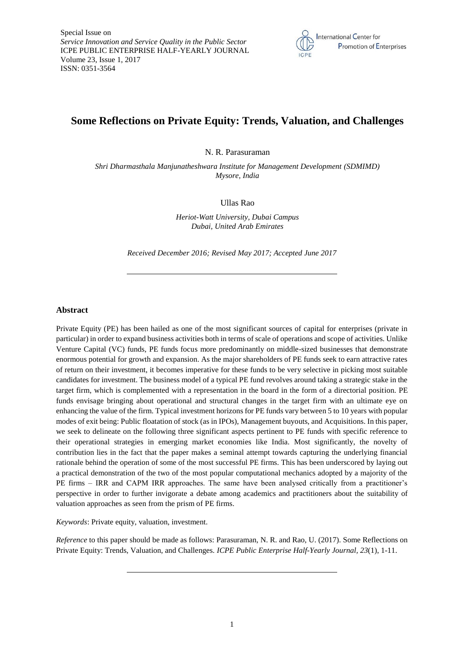

# **Some Reflections on Private Equity: Trends, Valuation, and Challenges**

N. R. Parasuraman

*Shri Dharmasthala Manjunatheshwara Institute for Management Development (SDMIMD) Mysore, India*

Ullas Rao

*Heriot-Watt University, Dubai Campus Dubai, United Arab Emirates*

*Received December 2016; Revised May 2017; Accepted June 2017*

#### **Abstract**

Private Equity (PE) has been hailed as one of the most significant sources of capital for enterprises (private in particular) in order to expand business activities both in terms of scale of operations and scope of activities. Unlike Venture Capital (VC) funds, PE funds focus more predominantly on middle-sized businesses that demonstrate enormous potential for growth and expansion. As the major shareholders of PE funds seek to earn attractive rates of return on their investment, it becomes imperative for these funds to be very selective in picking most suitable candidates for investment. The business model of a typical PE fund revolves around taking a strategic stake in the target firm, which is complemented with a representation in the board in the form of a directorial position. PE funds envisage bringing about operational and structural changes in the target firm with an ultimate eye on enhancing the value of the firm. Typical investment horizons for PE funds vary between 5 to 10 years with popular modes of exit being: Public floatation of stock (as in IPOs), Management buyouts, and Acquisitions. In this paper, we seek to delineate on the following three significant aspects pertinent to PE funds with specific reference to their operational strategies in emerging market economies like India. Most significantly, the novelty of contribution lies in the fact that the paper makes a seminal attempt towards capturing the underlying financial rationale behind the operation of some of the most successful PE firms. This has been underscored by laying out a practical demonstration of the two of the most popular computational mechanics adopted by a majority of the PE firms – IRR and CAPM IRR approaches. The same have been analysed critically from a practitioner's perspective in order to further invigorate a debate among academics and practitioners about the suitability of valuation approaches as seen from the prism of PE firms.

*Keywords*: Private equity, valuation, investment.

*Reference* to this paper should be made as follows: Parasuraman, N. R. and Rao, U. (2017). Some Reflections on Private Equity: Trends, Valuation, and Challenges*. ICPE Public Enterprise Half-Yearly Journal, 23*(1), 1-11.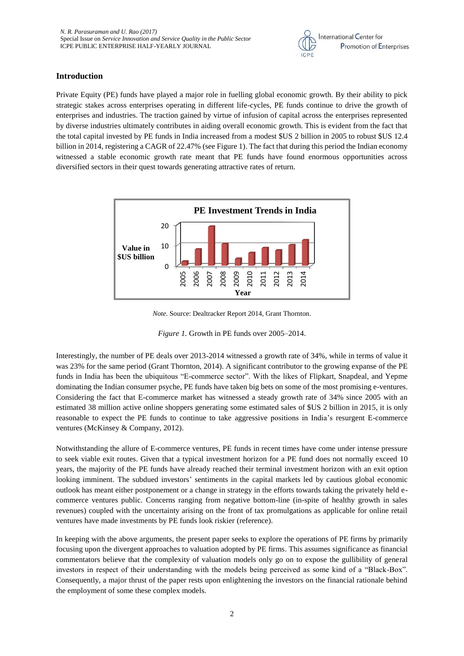

## **Introduction**

Private Equity (PE) funds have played a major role in fuelling global economic growth. By their ability to pick strategic stakes across enterprises operating in different life-cycles, PE funds continue to drive the growth of enterprises and industries. The traction gained by virtue of infusion of capital across the enterprises represented by diverse industries ultimately contributes in aiding overall economic growth. This is evident from the fact that the total capital invested by PE funds in India increased from a modest \$US 2 billion in 2005 to robust \$US 12.4 billion in 2014, registering a CAGR of 22.47% (see Figure 1). The fact that during this period the Indian economy witnessed a stable economic growth rate meant that PE funds have found enormous opportunities across diversified sectors in their quest towards generating attractive rates of return.



*Note.* Source: Dealtracker Report 2014, Grant Thornton.

*Figure 1.* Growth in PE funds over 2005–2014.

Interestingly, the number of PE deals over 2013-2014 witnessed a growth rate of 34%, while in terms of value it was 23% for the same period (Grant Thornton, 2014). A significant contributor to the growing expanse of the PE funds in India has been the ubiquitous "E-commerce sector". With the likes of Flipkart, Snapdeal, and Yepme dominating the Indian consumer psyche, PE funds have taken big bets on some of the most promising e-ventures. Considering the fact that E-commerce market has witnessed a steady growth rate of 34% since 2005 with an estimated 38 million active online shoppers generating some estimated sales of \$US 2 billion in 2015, it is only reasonable to expect the PE funds to continue to take aggressive positions in India's resurgent E-commerce ventures (McKinsey & Company, 2012).

Notwithstanding the allure of E-commerce ventures, PE funds in recent times have come under intense pressure to seek viable exit routes. Given that a typical investment horizon for a PE fund does not normally exceed 10 years, the majority of the PE funds have already reached their terminal investment horizon with an exit option looking imminent. The subdued investors' sentiments in the capital markets led by cautious global economic outlook has meant either postponement or a change in strategy in the efforts towards taking the privately held ecommerce ventures public. Concerns ranging from negative bottom-line (in-spite of healthy growth in sales revenues) coupled with the uncertainty arising on the front of tax promulgations as applicable for online retail ventures have made investments by PE funds look riskier (reference).

In keeping with the above arguments, the present paper seeks to explore the operations of PE firms by primarily focusing upon the divergent approaches to valuation adopted by PE firms. This assumes significance as financial commentators believe that the complexity of valuation models only go on to expose the gullibility of general investors in respect of their understanding with the models being perceived as some kind of a "Black-Box". Consequently, a major thrust of the paper rests upon enlightening the investors on the financial rationale behind the employment of some these complex models.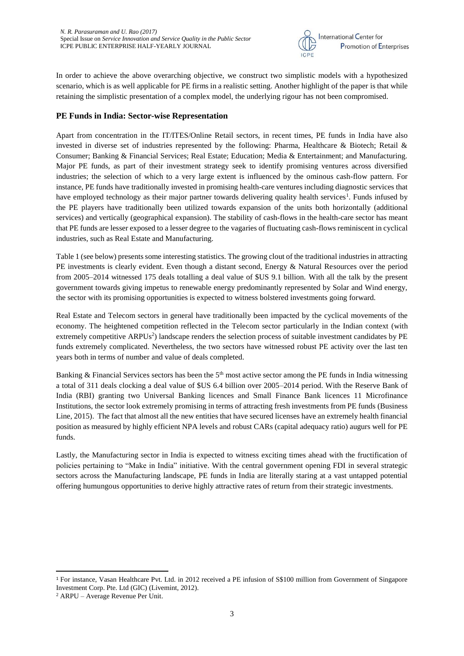

In order to achieve the above overarching objective, we construct two simplistic models with a hypothesized scenario, which is as well applicable for PE firms in a realistic setting. Another highlight of the paper is that while retaining the simplistic presentation of a complex model, the underlying rigour has not been compromised.

## **PE Funds in India: Sector-wise Representation**

Apart from concentration in the IT/ITES/Online Retail sectors, in recent times, PE funds in India have also invested in diverse set of industries represented by the following: Pharma, Healthcare & Biotech; Retail & Consumer; Banking & Financial Services; Real Estate; Education; Media & Entertainment; and Manufacturing. Major PE funds, as part of their investment strategy seek to identify promising ventures across diversified industries; the selection of which to a very large extent is influenced by the ominous cash-flow pattern. For instance, PE funds have traditionally invested in promising health-care ventures including diagnostic services that have employed technology as their major partner towards delivering quality health services<sup>1</sup>. Funds infused by the PE players have traditionally been utilized towards expansion of the units both horizontally (additional services) and vertically (geographical expansion). The stability of cash-flows in the health-care sector has meant that PE funds are lesser exposed to a lesser degree to the vagaries of fluctuating cash-flows reminiscent in cyclical industries, such as Real Estate and Manufacturing.

Table 1 (see below) presents some interesting statistics. The growing clout of the traditional industries in attracting PE investments is clearly evident. Even though a distant second, Energy & Natural Resources over the period from 2005–2014 witnessed 175 deals totalling a deal value of \$US 9.1 billion. With all the talk by the present government towards giving impetus to renewable energy predominantly represented by Solar and Wind energy, the sector with its promising opportunities is expected to witness bolstered investments going forward.

Real Estate and Telecom sectors in general have traditionally been impacted by the cyclical movements of the economy. The heightened competition reflected in the Telecom sector particularly in the Indian context (with extremely competitive ARPUs<sup>2</sup>) landscape renders the selection process of suitable investment candidates by PE funds extremely complicated. Nevertheless, the two sectors have witnessed robust PE activity over the last ten years both in terms of number and value of deals completed.

Banking & Financial Services sectors has been the 5<sup>th</sup> most active sector among the PE funds in India witnessing a total of 311 deals clocking a deal value of \$US 6.4 billion over 2005–2014 period. With the Reserve Bank of India (RBI) granting two Universal Banking licences and Small Finance Bank licences 11 Microfinance Institutions, the sector look extremely promising in terms of attracting fresh investments from PE funds (Business Line, 2015). The fact that almost all the new entities that have secured licenses have an extremely health financial position as measured by highly efficient NPA levels and robust CARs (capital adequacy ratio) augurs well for PE funds.

Lastly, the Manufacturing sector in India is expected to witness exciting times ahead with the fructification of policies pertaining to "Make in India" initiative. With the central government opening FDI in several strategic sectors across the Manufacturing landscape, PE funds in India are literally staring at a vast untapped potential offering humungous opportunities to derive highly attractive rates of return from their strategic investments.

1

<sup>1</sup> For instance, Vasan Healthcare Pvt. Ltd. in 2012 received a PE infusion of S\$100 million from Government of Singapore Investment Corp. Pte. Ltd (GIC) (Livemint, 2012).

<sup>2</sup> ARPU – Average Revenue Per Unit.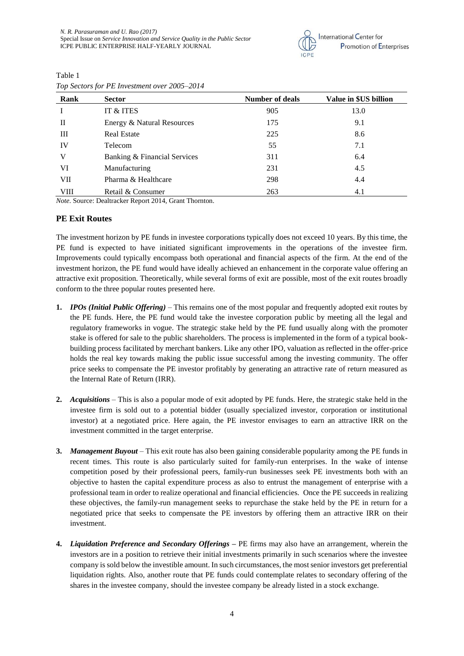

| Rank | <b>Sector</b>                | <b>Number of deals</b> | Value in \$US billion |
|------|------------------------------|------------------------|-----------------------|
|      | IT & ITES                    | 905                    | 13.0                  |
| П    | Energy & Natural Resources   | 175                    | 9.1                   |
| Ш    | <b>Real Estate</b>           | 225                    | 8.6                   |
| IV   | Telecom                      | 55                     | 7.1                   |
| V    | Banking & Financial Services | 311                    | 6.4                   |
| VI   | Manufacturing                | 231                    | 4.5                   |
| VII  | Pharma & Healthcare          | 298                    | 4.4                   |
| VIII | Retail & Consumer            | 263                    | 4.1                   |

Table 1 *Top Sectors for PE Investment over 2005–2014*

*Note*. Source: Dealtracker Report 2014, Grant Thornton.

#### **PE Exit Routes**

The investment horizon by PE funds in investee corporations typically does not exceed 10 years. By this time, the PE fund is expected to have initiated significant improvements in the operations of the investee firm. Improvements could typically encompass both operational and financial aspects of the firm. At the end of the investment horizon, the PE fund would have ideally achieved an enhancement in the corporate value offering an attractive exit proposition. Theoretically, while several forms of exit are possible, most of the exit routes broadly conform to the three popular routes presented here.

- **1.** *IPOs (Initial Public Offering)* This remains one of the most popular and frequently adopted exit routes by the PE funds. Here, the PE fund would take the investee corporation public by meeting all the legal and regulatory frameworks in vogue. The strategic stake held by the PE fund usually along with the promoter stake is offered for sale to the public shareholders. The process is implemented in the form of a typical bookbuilding process facilitated by merchant bankers. Like any other IPO, valuation as reflected in the offer-price holds the real key towards making the public issue successful among the investing community. The offer price seeks to compensate the PE investor profitably by generating an attractive rate of return measured as the Internal Rate of Return (IRR).
- **2.** *Acquisitions* This is also a popular mode of exit adopted by PE funds. Here, the strategic stake held in the investee firm is sold out to a potential bidder (usually specialized investor, corporation or institutional investor) at a negotiated price. Here again, the PE investor envisages to earn an attractive IRR on the investment committed in the target enterprise.
- **3.** *Management Buyout* This exit route has also been gaining considerable popularity among the PE funds in recent times. This route is also particularly suited for family-run enterprises. In the wake of intense competition posed by their professional peers, family-run businesses seek PE investments both with an objective to hasten the capital expenditure process as also to entrust the management of enterprise with a professional team in order to realize operational and financial efficiencies. Once the PE succeeds in realizing these objectives, the family-run management seeks to repurchase the stake held by the PE in return for a negotiated price that seeks to compensate the PE investors by offering them an attractive IRR on their investment.
- **4.** *Liquidation Preference and Secondary Offerings* **–** PE firms may also have an arrangement, wherein the investors are in a position to retrieve their initial investments primarily in such scenarios where the investee company is sold below the investible amount. In such circumstances, the most senior investors get preferential liquidation rights. Also, another route that PE funds could contemplate relates to secondary offering of the shares in the investee company, should the investee company be already listed in a stock exchange.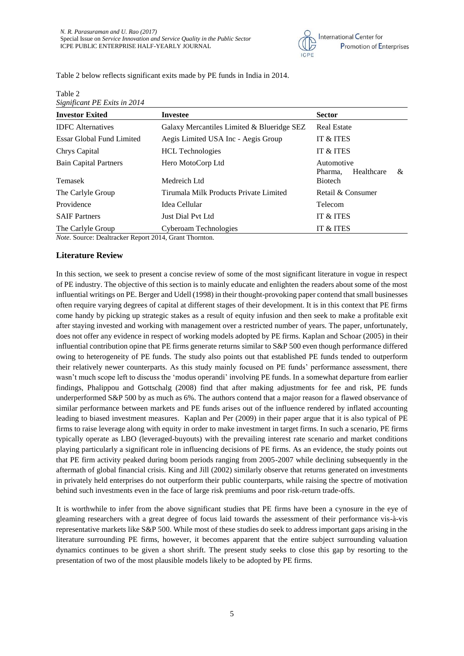

Table 2 below reflects significant exits made by PE funds in India in 2014.

Table 2 *Significant PE Exits in 2014*

| $\alpha$                                            |                                            |                                          |
|-----------------------------------------------------|--------------------------------------------|------------------------------------------|
| <b>Investor Exited</b>                              | <b>Investee</b>                            | <b>Sector</b>                            |
| <b>IDFC</b> Alternatives                            | Galaxy Mercantiles Limited & Blueridge SEZ | <b>Real Estate</b>                       |
| <b>Essar Global Fund Limited</b>                    | Aegis Limited USA Inc - Aegis Group        | IT & ITES                                |
| Chrys Capital                                       | <b>HCL</b> Technologies                    | IT & ITES                                |
| <b>Bain Capital Partners</b>                        | Hero MotoCorp Ltd                          | Automotive<br>Healthcare<br>&<br>Pharma. |
| Temasek                                             | Medreich Ltd                               | <b>Biotech</b>                           |
| The Carlyle Group                                   | Tirumala Milk Products Private Limited     | Retail & Consumer                        |
| Providence                                          | Idea Cellular                              | Telecom                                  |
| <b>SAIF Partners</b>                                | Just Dial Pyt Ltd                          | IT & ITES                                |
| The Carlyle Group                                   | Cyberoam Technologies                      | IT & ITES                                |
| Note Course: Dealtreaker Benert 2014 Creat Thernton |                                            |                                          |

*Note*. Source: Dealtracker Report 2014, Grant Thornton.

#### **Literature Review**

In this section, we seek to present a concise review of some of the most significant literature in vogue in respect of PE industry. The objective of this section is to mainly educate and enlighten the readers about some of the most influential writings on PE. Berger and Udell (1998) in their thought-provoking paper contend that small businesses often require varying degrees of capital at different stages of their development. It is in this context that PE firms come handy by picking up strategic stakes as a result of equity infusion and then seek to make a profitable exit after staying invested and working with management over a restricted number of years. The paper, unfortunately, does not offer any evidence in respect of working models adopted by PE firms. Kaplan and Schoar (2005) in their influential contribution opine that PE firms generate returns similar to S&P 500 even though performance differed owing to heterogeneity of PE funds. The study also points out that established PE funds tended to outperform their relatively newer counterparts. As this study mainly focused on PE funds' performance assessment, there wasn't much scope left to discuss the 'modus operandi' involving PE funds. In a somewhat departure from earlier findings, Phalippou and Gottschalg (2008) find that after making adjustments for fee and risk, PE funds underperformed S&P 500 by as much as 6%. The authors contend that a major reason for a flawed observance of similar performance between markets and PE funds arises out of the influence rendered by inflated accounting leading to biased investment measures. Kaplan and Per (2009) in their paper argue that it is also typical of PE firms to raise leverage along with equity in order to make investment in target firms. In such a scenario, PE firms typically operate as LBO (leveraged-buyouts) with the prevailing interest rate scenario and market conditions playing particularly a significant role in influencing decisions of PE firms. As an evidence, the study points out that PE firm activity peaked during boom periods ranging from 2005-2007 while declining subsequently in the aftermath of global financial crisis. King and Jill (2002) similarly observe that returns generated on investments in privately held enterprises do not outperform their public counterparts, while raising the spectre of motivation behind such investments even in the face of large risk premiums and poor risk-return trade-offs.

It is worthwhile to infer from the above significant studies that PE firms have been a cynosure in the eye of gleaming researchers with a great degree of focus laid towards the assessment of their performance vis-à-vis representative markets like S&P 500. While most of these studies do seek to address important gaps arising in the literature surrounding PE firms, however, it becomes apparent that the entire subject surrounding valuation dynamics continues to be given a short shrift. The present study seeks to close this gap by resorting to the presentation of two of the most plausible models likely to be adopted by PE firms.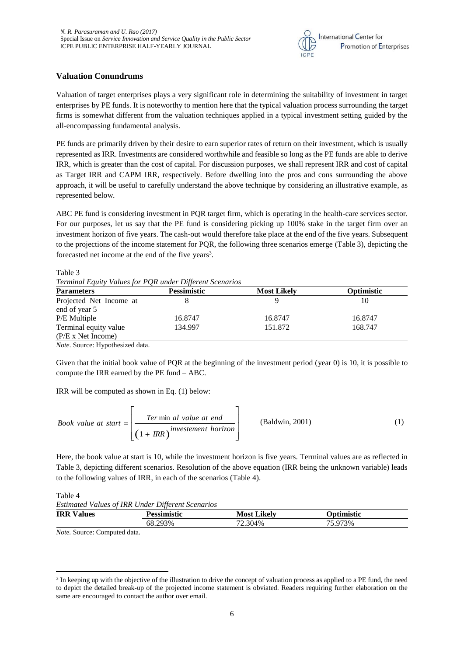

## **Valuation Conundrums**

Valuation of target enterprises plays a very significant role in determining the suitability of investment in target enterprises by PE funds. It is noteworthy to mention here that the typical valuation process surrounding the target firms is somewhat different from the valuation techniques applied in a typical investment setting guided by the all-encompassing fundamental analysis.

PE funds are primarily driven by their desire to earn superior rates of return on their investment, which is usually represented as IRR. Investments are considered worthwhile and feasible so long as the PE funds are able to derive IRR, which is greater than the cost of capital. For discussion purposes, we shall represent IRR and cost of capital as Target IRR and CAPM IRR, respectively. Before dwelling into the pros and cons surrounding the above approach, it will be useful to carefully understand the above technique by considering an illustrative example, as represented below.

ABC PE fund is considering investment in PQR target firm, which is operating in the health-care services sector. For our purposes, let us say that the PE fund is considering picking up 100% stake in the target firm over an investment horizon of five years. The cash-out would therefore take place at the end of the five years. Subsequent to the projections of the income statement for PQR, the following three scenarios emerge (Table 3), depicting the forecasted net income at the end of the five years<sup>3</sup>.

Table 3

*Terminal Equity Values for PQR under Different Scenarios*

| <b>Pessimistic</b> | <b>Most Likely</b> | <b>Optimistic</b> |
|--------------------|--------------------|-------------------|
|                    |                    | 10                |
|                    |                    |                   |
| 16.8747            | 16.8747            | 16.8747           |
| 134.997            | 151.872            | 168.747           |
|                    |                    |                   |
|                    |                    |                   |

*Note*. Source: Hypothesized data.

Given that the initial book value of PQR at the beginning of the investment period (year 0) is 10, it is possible to compute the IRR earned by the PE fund – ABC.

IRR will be computed as shown in Eq. (1) below:

Book value at start = 
$$
\left[\frac{Ter \min al value at end}{\left(1 + IRR\right)^{investement horizon}}\right]
$$
 (Baldwin, 2001) (1)

Here, the book value at start is 10, while the investment horizon is five years. Terminal values are as reflected in Table 3, depicting different scenarios. Resolution of the above equation (IRR being the unknown variable) leads to the following values of IRR, in each of the scenarios (Table 4).

Table 4

**.** 

|  |  | Estimated Values of IRR Under Different Scenarios |
|--|--|---------------------------------------------------|
|  |  |                                                   |

| <b>IRR</b> Values | Pessimistic  | Likelv<br>Most ' | <b>D</b> otimistic |
|-------------------|--------------|------------------|--------------------|
|                   | 293%<br>68.2 | 72.304%          | 75.973%            |

*Note.* Source: Computed data.

<sup>&</sup>lt;sup>3</sup> In keeping up with the objective of the illustration to drive the concept of valuation process as applied to a PE fund, the need to depict the detailed break-up of the projected income statement is obviated. Readers requiring further elaboration on the same are encouraged to contact the author over email.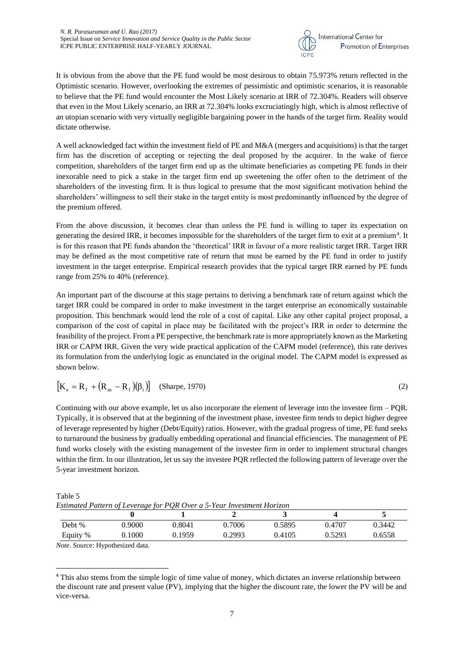

It is obvious from the above that the PE fund would be most desirous to obtain 75.973% return reflected in the Optimistic scenario. However, overlooking the extremes of pessimistic and optimistic scenarios, it is reasonable to believe that the PE fund would encounter the Most Likely scenario at IRR of 72.304%. Readers will observe that even in the Most Likely scenario, an IRR at 72.304% looks excruciatingly high, which is almost reflective of an utopian scenario with very virtually negligible bargaining power in the hands of the target firm. Reality would dictate otherwise.

A well acknowledged fact within the investment field of PE and M&A (mergers and acquisitions) is that the target firm has the discretion of accepting or rejecting the deal proposed by the acquirer. In the wake of fierce competition, shareholders of the target firm end up as the ultimate beneficiaries as competing PE funds in their inexorable need to pick a stake in the target firm end up sweetening the offer often to the detriment of the shareholders of the investing firm. It is thus logical to presume that the most significant motivation behind the shareholders' willingness to sell their stake in the target entity is most predominantly influenced by the degree of the premium offered.

From the above discussion, it becomes clear than unless the PE fund is willing to taper its expectation on generating the desired IRR, it becomes impossible for the shareholders of the target firm to exit at a premium<sup>4</sup>. It is for this reason that PE funds abandon the 'theoretical' IRR in favour of a more realistic target IRR. Target IRR may be defined as the most competitive rate of return that must be earned by the PE fund in order to justify investment in the target enterprise. Empirical research provides that the typical target IRR earned by PE funds range from 25% to 40% (reference).

An important part of the discourse at this stage pertains to deriving a benchmark rate of return against which the target IRR could be compared in order to make investment in the target enterprise an economically sustainable proposition. This benchmark would lend the role of a cost of capital. Like any other capital project proposal, a comparison of the cost of capital in place may be facilitated with the project's IRR in order to determine the feasibility of the project. From a PE perspective, the benchmark rate is more appropriately known as the Marketing IRR or CAPM IRR. Given the very wide practical application of the CAPM model (reference), this rate derives its formulation from the underlying logic as enunciated in the original model. The CAPM model is expressed as shown below.

$$
\left[\mathbf{K}_{\mathrm{e}} = \mathbf{R}_{\mathrm{f}} + \left(\mathbf{R}_{\mathrm{m}} - \mathbf{R}_{\mathrm{f}}\right)\left(\beta_{\mathrm{i}}\right)\right] \quad \text{(Sharpe, 1970)}\tag{2}
$$

Continuing with our above example, let us also incorporate the element of leverage into the investee firm – PQR. Typically, it is observed that at the beginning of the investment phase, investee firm tends to depict higher degree of leverage represented by higher (Debt/Equity) ratios. However, with the gradual progress of time, PE fund seeks to turnaround the business by gradually embedding operational and financial efficiencies. The management of PE fund works closely with the existing management of the investee firm in order to implement structural changes within the firm. In our illustration, let us say the investee PQR reflected the following pattern of leverage over the 5-year investment horizon.

| Table 5 |                                                                        |  |  |
|---------|------------------------------------------------------------------------|--|--|
|         | Estimated Pattern of Leverage for PQR Over a 5-Year Investment Horizon |  |  |
|         |                                                                        |  |  |

| Debt %                                | 0.9000 | 0.8041 | 0.7006 | 0.5895 | 0.4707 | 0.3442 |
|---------------------------------------|--------|--------|--------|--------|--------|--------|
| Equity %                              | 0.1000 | 0.1959 | 0.2993 | 0.4105 | 0.5293 | 0.6558 |
| <i>Note</i> Source: Hypothesized data |        |        |        |        |        |        |

*Note.* Source: Hypothesized data.

Table 5

**<sup>.</sup>** <sup>4</sup> This also stems from the simple logic of time value of money, which dictates an inverse relationship between the discount rate and present value (PV), implying that the higher the discount rate, the lower the PV will be and vice-versa.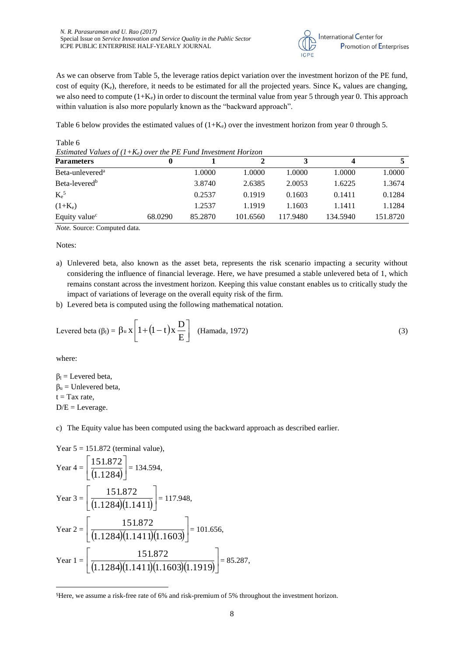

As we can observe from Table 5, the leverage ratios depict variation over the investment horizon of the PE fund, cost of equity ( $K_e$ ), therefore, it needs to be estimated for all the projected years. Since  $K_e$  values are changing, we also need to compute  $(1+K_e)$  in order to discount the terminal value from year 5 through year 0. This approach within valuation is also more popularly known as the "backward approach".

Table 6 below provides the estimated values of  $(1+K_e)$  over the investment horizon from year 0 through 5.

| Estimated Values of $(I+K_e)$ over the PE Fund Investment Horizon |         |         |          |          |          |          |  |  |
|-------------------------------------------------------------------|---------|---------|----------|----------|----------|----------|--|--|
| <b>Parameters</b>                                                 |         |         |          |          |          |          |  |  |
| Beta-unlevered <sup>a</sup>                                       |         | 1.0000  | 1.0000   | 1.0000   | 1.0000   | 1.0000   |  |  |
| Beta-levered <sup>b</sup>                                         |         | 3.8740  | 2.6385   | 2.0053   | 1.6225   | 1.3674   |  |  |
| $K_{e}^{5}$                                                       |         | 0.2537  | 0.1919   | 0.1603   | 0.1411   | 0.1284   |  |  |
| $(1+K_e)$                                                         |         | 1.2537  | 1.1919   | 1.1603   | 1.1411   | 1.1284   |  |  |
| Equity value <sup>c</sup>                                         | 68.0290 | 85.2870 | 101.6560 | 117.9480 | 134.5940 | 151.8720 |  |  |

Table 6 *Estimated Values of (1+Ke) over the PE Fund Investment Horizon*

*Note.* Source: Computed data.

Notes:

- a) Unlevered beta, also known as the asset beta, represents the risk scenario impacting a security without considering the influence of financial leverage. Here, we have presumed a stable unlevered beta of 1, which remains constant across the investment horizon. Keeping this value constant enables us to critically study the impact of variations of leverage on the overall equity risk of the firm.
- b) Levered beta is computed using the following mathematical notation.

Levered beta 
$$
(\beta_l)
$$
 =  $\beta_u x \left[ 1 + (1 - t) x \frac{D}{E} \right]$  (Hamada, 1972) (3)

where:

1

 $β<sub>l</sub> = Levered beta,$  $β<sub>u</sub> = Unlevered beta,$  $t = Tax rate$ ,  $D/E = Leverage.$ 

c) The Equity value has been computed using the backward approach as described earlier.

Year 5 = 151.872 (terminal value),  
\nYear 4 = 
$$
\left[\frac{151.872}{(1.1284)}\right]
$$
 = 134.594,  
\nYear 3 =  $\left[\frac{151.872}{(1.1284)(1.1411)}\right]$  = 117.948,  
\nYear 2 =  $\left[\frac{151.872}{(1.1284)(1.1411)(1.1603)}\right]$  = 101.656,  
\nYear 1 =  $\left[\frac{151.872}{(1.1284)(1.1411)(1.1603)(1.1919)}\right]$  = 85.287,

<sup>5</sup>Here, we assume a risk-free rate of 6% and risk-premium of 5% throughout the investment horizon.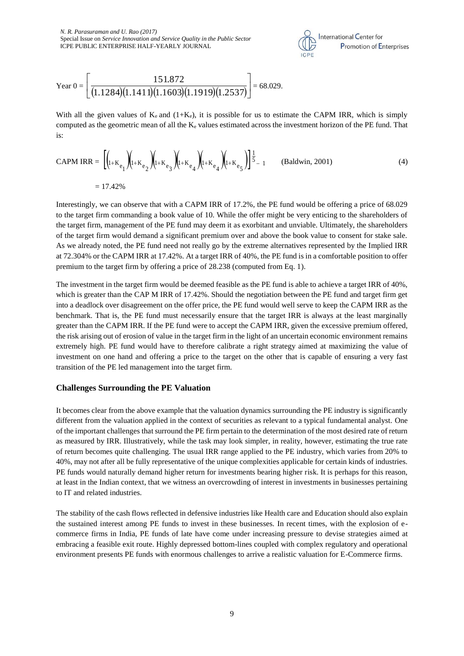

Year 0 = 
$$
\left[\frac{151.872}{(1.1284)(1.1411)(1.1603)(1.1919)(1.2537)}\right] = 68.029.
$$

With all the given values of  $K_e$  and  $(1+K_e)$ , it is possible for us to estimate the CAPM IRR, which is simply computed as the geometric mean of all the  $K_e$  values estimated across the investment horizon of the PE fund. That is:

$$
CAPM IRR = \left[ \left( I_{1+K_{e_1}} \right) \left( I_{1+K_{e_2}} \right) \left( I_{1+K_{e_3}} \right) \left( I_{1+K_{e_4}} \right) \left( I_{1+K_{e_5}} \right) \right] \frac{1}{5} - 1 \quad \text{(Baldwin, 2001)} \tag{4}
$$
\n
$$
= 17.42\%
$$

Interestingly, we can observe that with a CAPM IRR of 17.2%, the PE fund would be offering a price of 68.029 to the target firm commanding a book value of 10. While the offer might be very enticing to the shareholders of the target firm, management of the PE fund may deem it as exorbitant and unviable. Ultimately, the shareholders of the target firm would demand a significant premium over and above the book value to consent for stake sale. As we already noted, the PE fund need not really go by the extreme alternatives represented by the Implied IRR at 72.304% or the CAPM IRR at 17.42%. At a target IRR of 40%, the PE fund is in a comfortable position to offer premium to the target firm by offering a price of 28.238 (computed from Eq. 1).

The investment in the target firm would be deemed feasible as the PE fund is able to achieve a target IRR of 40%, which is greater than the CAP M IRR of 17.42%. Should the negotiation between the PE fund and target firm get into a deadlock over disagreement on the offer price, the PE fund would well serve to keep the CAPM IRR as the benchmark. That is, the PE fund must necessarily ensure that the target IRR is always at the least marginally greater than the CAPM IRR. If the PE fund were to accept the CAPM IRR, given the excessive premium offered, the risk arising out of erosion of value in the target firm in the light of an uncertain economic environment remains extremely high. PE fund would have to therefore calibrate a right strategy aimed at maximizing the value of investment on one hand and offering a price to the target on the other that is capable of ensuring a very fast transition of the PE led management into the target firm.

### **Challenges Surrounding the PE Valuation**

It becomes clear from the above example that the valuation dynamics surrounding the PE industry is significantly different from the valuation applied in the context of securities as relevant to a typical fundamental analyst. One of the important challenges that surround the PE firm pertain to the determination of the most desired rate of return as measured by IRR. Illustratively, while the task may look simpler, in reality, however, estimating the true rate of return becomes quite challenging. The usual IRR range applied to the PE industry, which varies from 20% to 40%, may not after all be fully representative of the unique complexities applicable for certain kinds of industries. PE funds would naturally demand higher return for investments bearing higher risk. It is perhaps for this reason, at least in the Indian context, that we witness an overcrowding of interest in investments in businesses pertaining to IT and related industries.

The stability of the cash flows reflected in defensive industries like Health care and Education should also explain the sustained interest among PE funds to invest in these businesses. In recent times, with the explosion of ecommerce firms in India, PE funds of late have come under increasing pressure to devise strategies aimed at embracing a feasible exit route. Highly depressed bottom-lines coupled with complex regulatory and operational environment presents PE funds with enormous challenges to arrive a realistic valuation for E-Commerce firms.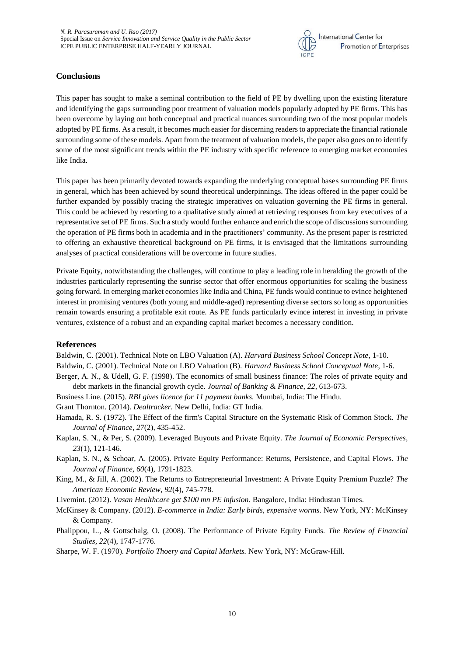

## **Conclusions**

This paper has sought to make a seminal contribution to the field of PE by dwelling upon the existing literature and identifying the gaps surrounding poor treatment of valuation models popularly adopted by PE firms. This has been overcome by laying out both conceptual and practical nuances surrounding two of the most popular models adopted by PE firms. As a result, it becomes much easier for discerning readers to appreciate the financial rationale surrounding some of these models. Apart from the treatment of valuation models, the paper also goes on to identify some of the most significant trends within the PE industry with specific reference to emerging market economies like India.

This paper has been primarily devoted towards expanding the underlying conceptual bases surrounding PE firms in general, which has been achieved by sound theoretical underpinnings. The ideas offered in the paper could be further expanded by possibly tracing the strategic imperatives on valuation governing the PE firms in general. This could be achieved by resorting to a qualitative study aimed at retrieving responses from key executives of a representative set of PE firms. Such a study would further enhance and enrich the scope of discussions surrounding the operation of PE firms both in academia and in the practitioners' community. As the present paper is restricted to offering an exhaustive theoretical background on PE firms, it is envisaged that the limitations surrounding analyses of practical considerations will be overcome in future studies.

Private Equity, notwithstanding the challenges, will continue to play a leading role in heralding the growth of the industries particularly representing the sunrise sector that offer enormous opportunities for scaling the business going forward. In emerging market economies like India and China, PE funds would continue to evince heightened interest in promising ventures (both young and middle-aged) representing diverse sectors so long as opportunities remain towards ensuring a profitable exit route. As PE funds particularly evince interest in investing in private ventures, existence of a robust and an expanding capital market becomes a necessary condition.

## **References**

Baldwin, C. (2001). Technical Note on LBO Valuation (A). *Harvard Business School Concept Note*, 1-10.

Baldwin, C. (2001). Technical Note on LBO Valuation (B). *Harvard Business School Conceptual Note*, 1-6.

- Berger, A. N., & Udell, G. F. (1998). The economics of small business finance: The roles of private equity and debt markets in the financial growth cycle. *Journal of Banking & Finance, 22*, 613-673.
- Business Line. (2015). *RBI gives licence for 11 payment banks.* Mumbai, India: The Hindu.

Grant Thornton. (2014). *Dealtracker.* New Delhi, India: GT India.

- Hamada, R. S. (1972). The Effect of the firm's Capital Structure on the Systematic Risk of Common Stock. *The Journal of Finance, 27*(2), 435-452.
- Kaplan, S. N., & Per, S. (2009). Leveraged Buyouts and Private Equity. *The Journal of Economic Perspectives, 23*(1), 121-146.
- Kaplan, S. N., & Schoar, A. (2005). Private Equity Performance: Returns, Persistence, and Capital Flows. *The Journal of Finance, 60*(4), 1791-1823.
- King, M., & Jill, A. (2002). The Returns to Entrepreneurial Investment: A Private Equity Premium Puzzle? *The American Economic Review, 92*(4), 745-778.

Livemint. (2012). *Vasan Healthcare get \$100 mn PE infusion.* Bangalore, India: Hindustan Times.

- McKinsey & Company. (2012). *E-commerce in India: Early birds, expensive worms.* New York, NY: McKinsey & Company.
- Phalippou, L., & Gottschalg, O. (2008). The Performance of Private Equity Funds. *The Review of Financial Studies, 22*(4), 1747-1776.

Sharpe, W. F. (1970). *Portfolio Thoery and Capital Markets.* New York, NY: McGraw-Hill.